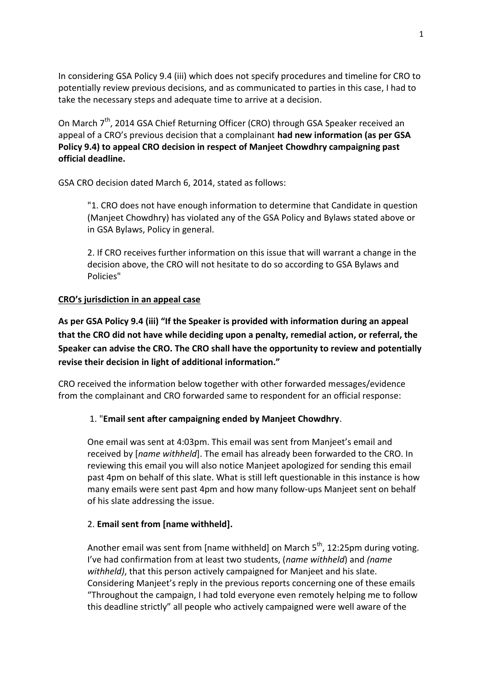In considering GSA Policy 9.4 (iii) which does not specify procedures and timeline for CRO to potentially review previous decisions, and as communicated to parties in this case, I had to take the necessary steps and adequate time to arrive at a decision.

On March  $7<sup>th</sup>$ , 2014 GSA Chief Returning Officer (CRO) through GSA Speaker received an appeal of a CRO's previous decision that a complainant **had new information (as per GSA Policy 9.4) to appeal CRO decision in respect of Manjeet Chowdhry campaigning past official deadline.** 

GSA CRO decision dated March 6, 2014, stated as follows:

"1. CRO does not have enough information to determine that Candidate in question (Manjeet Chowdhry) has violated any of the GSA Policy and Bylaws stated above or in GSA Bylaws, Policy in general.

2. If CRO receives further information on this issue that will warrant a change in the decision above, the CRO will not hesitate to do so according to GSA Bylaws and Policies"

#### **CRO's jurisdiction in an appeal case**

**As per GSA Policy 9.4 (iii) "If the Speaker is provided with information during an appeal that the CRO did not have while deciding upon a penalty, remedial action, or referral, the Speaker can advise the CRO. The CRO shall have the opportunity to review and potentially revise their decision in light of additional information."**

CRO received the information below together with other forwarded messages/evidence from the complainant and CRO forwarded same to respondent for an official response:

# 1. "**Email sent after campaigning ended by Manjeet Chowdhry**.

One email was sent at 4:03pm. This email was sent from Manjeet's email and received by [*name withheld*]. The email has already been forwarded to the CRO. In reviewing this email you will also notice Manjeet apologized for sending this email past 4pm on behalf of this slate. What is still left questionable in this instance is how many emails were sent past 4pm and how many follow-ups Manjeet sent on behalf of his slate addressing the issue.

#### 2. **Email sent from [name withheld].**

Another email was sent from [name withheld] on March  $5<sup>th</sup>$ , 12:25pm during voting. I've had confirmation from at least two students, (*name withheld*) and *(name withheld)*, that this person actively campaigned for Manjeet and his slate. Considering Manjeet's reply in the previous reports concerning one of these emails "Throughout the campaign, I had told everyone even remotely helping me to follow this deadline strictly" all people who actively campaigned were well aware of the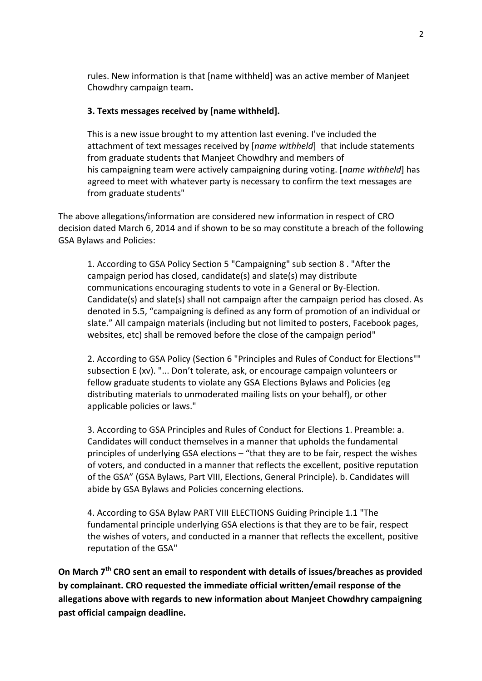rules. New information is that [name withheld] was an active member of Manjeet Chowdhry campaign team**.**

#### **3. Texts messages received by [name withheld].**

This is a new issue brought to my attention last evening. I've included the attachment of text messages received by [*name withheld*] that include statements from graduate students that Manjeet Chowdhry and members of his campaigning team were actively campaigning during voting. [*name withheld*] has agreed to meet with whatever party is necessary to confirm the text messages are from graduate students"

The above allegations/information are considered new information in respect of CRO decision dated March 6, 2014 and if shown to be so may constitute a breach of the following GSA Bylaws and Policies:

1. According to GSA Policy Section 5 "Campaigning" sub section 8 . "After the campaign period has closed, candidate(s) and slate(s) may distribute communications encouraging students to vote in a General or By-Election. Candidate(s) and slate(s) shall not campaign after the campaign period has closed. As denoted in 5.5, "campaigning is defined as any form of promotion of an individual or slate." All campaign materials (including but not limited to posters, Facebook pages, websites, etc) shall be removed before the close of the campaign period"

2. According to GSA Policy (Section 6 "Principles and Rules of Conduct for Elections"" subsection E (xv). "... Don't tolerate, ask, or encourage campaign volunteers or fellow graduate students to violate any GSA Elections Bylaws and Policies (eg distributing materials to unmoderated mailing lists on your behalf), or other applicable policies or laws."

3. According to GSA Principles and Rules of Conduct for Elections 1. Preamble: a. Candidates will conduct themselves in a manner that upholds the fundamental principles of underlying GSA elections – "that they are to be fair, respect the wishes of voters, and conducted in a manner that reflects the excellent, positive reputation of the GSA" (GSA Bylaws, Part VIII, Elections, General Principle). b. Candidates will abide by GSA Bylaws and Policies concerning elections.

4. According to GSA Bylaw PART VIII ELECTIONS Guiding Principle 1.1 "The fundamental principle underlying GSA elections is that they are to be fair, respect the wishes of voters, and conducted in a manner that reflects the excellent, positive reputation of the GSA"

**On March 7th CRO sent an email to respondent with details of issues/breaches as provided by complainant. CRO requested the immediate official written/email response of the allegations above with regards to new information about Manjeet Chowdhry campaigning past official campaign deadline.**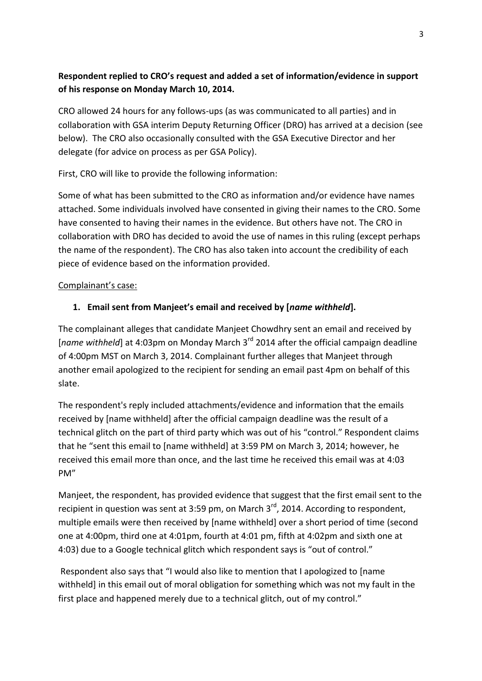# **Respondent replied to CRO's request and added a set of information/evidence in support of his response on Monday March 10, 2014.**

CRO allowed 24 hours for any follows-ups (as was communicated to all parties) and in collaboration with GSA interim Deputy Returning Officer (DRO) has arrived at a decision (see below). The CRO also occasionally consulted with the GSA Executive Director and her delegate (for advice on process as per GSA Policy).

First, CRO will like to provide the following information:

Some of what has been submitted to the CRO as information and/or evidence have names attached. Some individuals involved have consented in giving their names to the CRO. Some have consented to having their names in the evidence. But others have not. The CRO in collaboration with DRO has decided to avoid the use of names in this ruling (except perhaps the name of the respondent). The CRO has also taken into account the credibility of each piece of evidence based on the information provided.

# Complainant's case:

# **1. Email sent from Manjeet's email and received by [***name withheld***].**

The complainant alleges that candidate Manjeet Chowdhry sent an email and received by [*name withheld*] at 4:03pm on Monday March 3rd 2014 after the official campaign deadline of 4:00pm MST on March 3, 2014. Complainant further alleges that Manjeet through another email apologized to the recipient for sending an email past 4pm on behalf of this slate.

The respondent's reply included attachments/evidence and information that the emails received by [name withheld] after the official campaign deadline was the result of a technical glitch on the part of third party which was out of his "control." Respondent claims that he "sent this email to [name withheld] at 3:59 PM on March 3, 2014; however, he received this email more than once, and the last time he received this email was at 4:03 PM"

Manjeet, the respondent, has provided evidence that suggest that the first email sent to the recipient in question was sent at 3:59 pm, on March  $3<sup>rd</sup>$ , 2014. According to respondent, multiple emails were then received by [name withheld] over a short period of time (second one at 4:00pm, third one at 4:01pm, fourth at 4:01 pm, fifth at 4:02pm and sixth one at 4:03) due to a Google technical glitch which respondent says is "out of control."

Respondent also says that "I would also like to mention that I apologized to [name withheld] in this email out of moral obligation for something which was not my fault in the first place and happened merely due to a technical glitch, out of my control."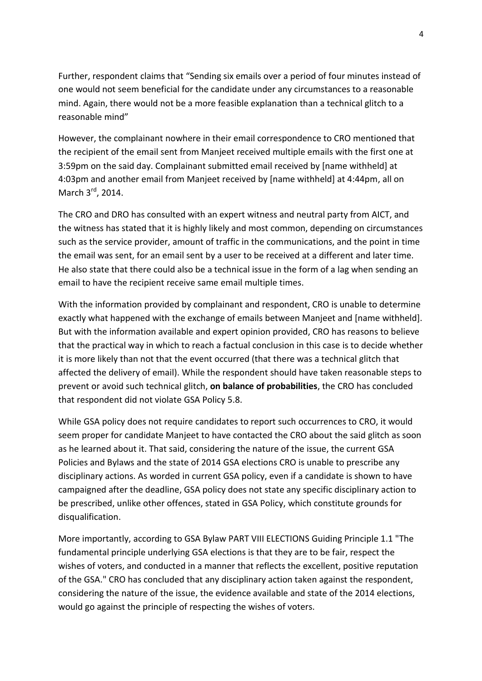Further, respondent claims that "Sending six emails over a period of four minutes instead of one would not seem beneficial for the candidate under any circumstances to a reasonable mind. Again, there would not be a more feasible explanation than a technical glitch to a reasonable mind"

However, the complainant nowhere in their email correspondence to CRO mentioned that the recipient of the email sent from Manjeet received multiple emails with the first one at 3:59pm on the said day. Complainant submitted email received by [name withheld] at 4:03pm and another email from Manjeet received by [name withheld] at 4:44pm, all on March 3<sup>rd</sup>, 2014.

The CRO and DRO has consulted with an expert witness and neutral party from AICT, and the witness has stated that it is highly likely and most common, depending on circumstances such as the service provider, amount of traffic in the communications, and the point in time the email was sent, for an email sent by a user to be received at a different and later time. He also state that there could also be a technical issue in the form of a lag when sending an email to have the recipient receive same email multiple times.

With the information provided by complainant and respondent, CRO is unable to determine exactly what happened with the exchange of emails between Manjeet and [name withheld]. But with the information available and expert opinion provided, CRO has reasons to believe that the practical way in which to reach a factual conclusion in this case is to decide whether it is more likely than not that the event occurred (that there was a technical glitch that affected the delivery of email). While the respondent should have taken reasonable steps to prevent or avoid such technical glitch, **on balance of probabilities**, the CRO has concluded that respondent did not violate GSA Policy 5.8.

While GSA policy does not require candidates to report such occurrences to CRO, it would seem proper for candidate Manjeet to have contacted the CRO about the said glitch as soon as he learned about it. That said, considering the nature of the issue, the current GSA Policies and Bylaws and the state of 2014 GSA elections CRO is unable to prescribe any disciplinary actions. As worded in current GSA policy, even if a candidate is shown to have campaigned after the deadline, GSA policy does not state any specific disciplinary action to be prescribed, unlike other offences, stated in GSA Policy, which constitute grounds for disqualification.

More importantly, according to GSA Bylaw PART VIII ELECTIONS Guiding Principle 1.1 "The fundamental principle underlying GSA elections is that they are to be fair, respect the wishes of voters, and conducted in a manner that reflects the excellent, positive reputation of the GSA." CRO has concluded that any disciplinary action taken against the respondent, considering the nature of the issue, the evidence available and state of the 2014 elections, would go against the principle of respecting the wishes of voters.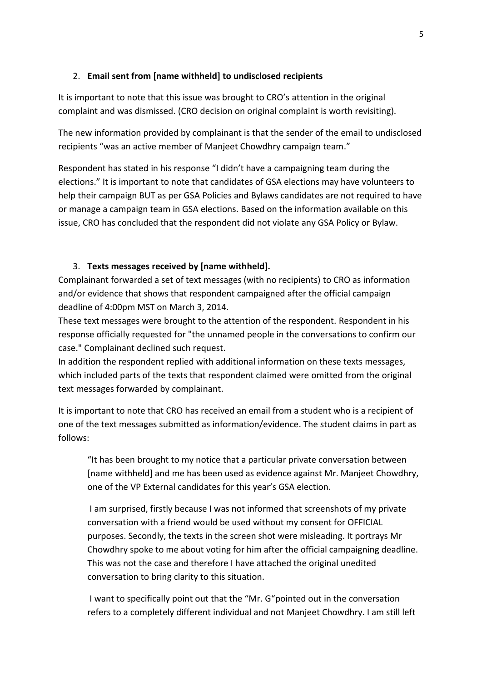# 2. **Email sent from [name withheld] to undisclosed recipients**

It is important to note that this issue was brought to CRO's attention in the original complaint and was dismissed. (CRO decision on original complaint is worth revisiting).

The new information provided by complainant is that the sender of the email to undisclosed recipients "was an active member of Manjeet Chowdhry campaign team."

Respondent has stated in his response "I didn't have a campaigning team during the elections." It is important to note that candidates of GSA elections may have volunteers to help their campaign BUT as per GSA Policies and Bylaws candidates are not required to have or manage a campaign team in GSA elections. Based on the information available on this issue, CRO has concluded that the respondent did not violate any GSA Policy or Bylaw.

#### 3. **Texts messages received by [name withheld].**

Complainant forwarded a set of text messages (with no recipients) to CRO as information and/or evidence that shows that respondent campaigned after the official campaign deadline of 4:00pm MST on March 3, 2014.

These text messages were brought to the attention of the respondent. Respondent in his response officially requested for "the unnamed people in the conversations to confirm our case." Complainant declined such request.

In addition the respondent replied with additional information on these texts messages, which included parts of the texts that respondent claimed were omitted from the original text messages forwarded by complainant.

It is important to note that CRO has received an email from a student who is a recipient of one of the text messages submitted as information/evidence. The student claims in part as follows:

"It has been brought to my notice that a particular private conversation between [name withheld] and me has been used as evidence against Mr. Manjeet Chowdhry, one of the VP External candidates for this year's GSA election.

I am surprised, firstly because I was not informed that screenshots of my private conversation with a friend would be used without my consent for OFFICIAL purposes. Secondly, the texts in the screen shot were misleading. It portrays Mr Chowdhry spoke to me about voting for him after the official campaigning deadline. This was not the case and therefore I have attached the original unedited conversation to bring clarity to this situation.

I want to specifically point out that the "Mr. G"pointed out in the conversation refers to a completely different individual and not Manjeet Chowdhry. I am still left